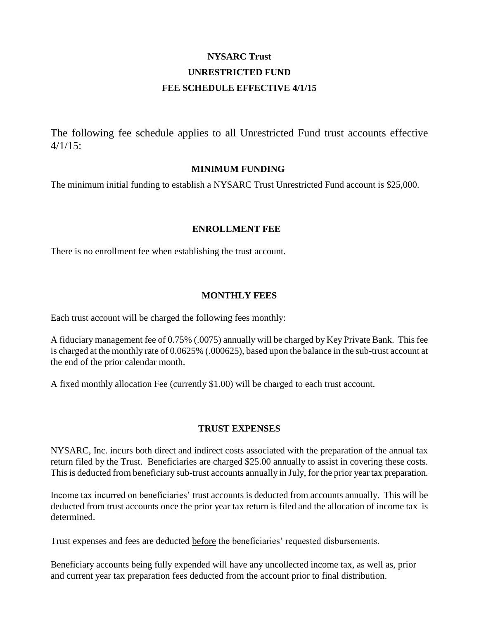# **NYSARC Trust UNRESTRICTED FUND FEE SCHEDULE EFFECTIVE 4/1/15**

The following fee schedule applies to all Unrestricted Fund trust accounts effective  $4/1/15$ :

#### **MINIMUM FUNDING**

The minimum initial funding to establish a NYSARC Trust Unrestricted Fund account is \$25,000.

#### **ENROLLMENT FEE**

There is no enrollment fee when establishing the trust account.

#### **MONTHLY FEES**

Each trust account will be charged the following fees monthly:

A fiduciary management fee of 0.75% (.0075) annually will be charged by Key Private Bank. This fee is charged at the monthly rate of 0.0625% (.000625), based upon the balance in the sub-trust account at the end of the prior calendar month.

A fixed monthly allocation Fee (currently \$1.00) will be charged to each trust account.

#### **TRUST EXPENSES**

NYSARC, Inc. incurs both direct and indirect costs associated with the preparation of the annual tax return filed by the Trust. Beneficiaries are charged \$25.00 annually to assist in covering these costs. This is deducted from beneficiary sub-trust accounts annually in July, for the prior year tax preparation.

Income tax incurred on beneficiaries' trust accounts is deducted from accounts annually. This will be deducted from trust accounts once the prior year tax return is filed and the allocation of income tax is determined.

Trust expenses and fees are deducted before the beneficiaries' requested disbursements.

Beneficiary accounts being fully expended will have any uncollected income tax, as well as, prior and current year tax preparation fees deducted from the account prior to final distribution.